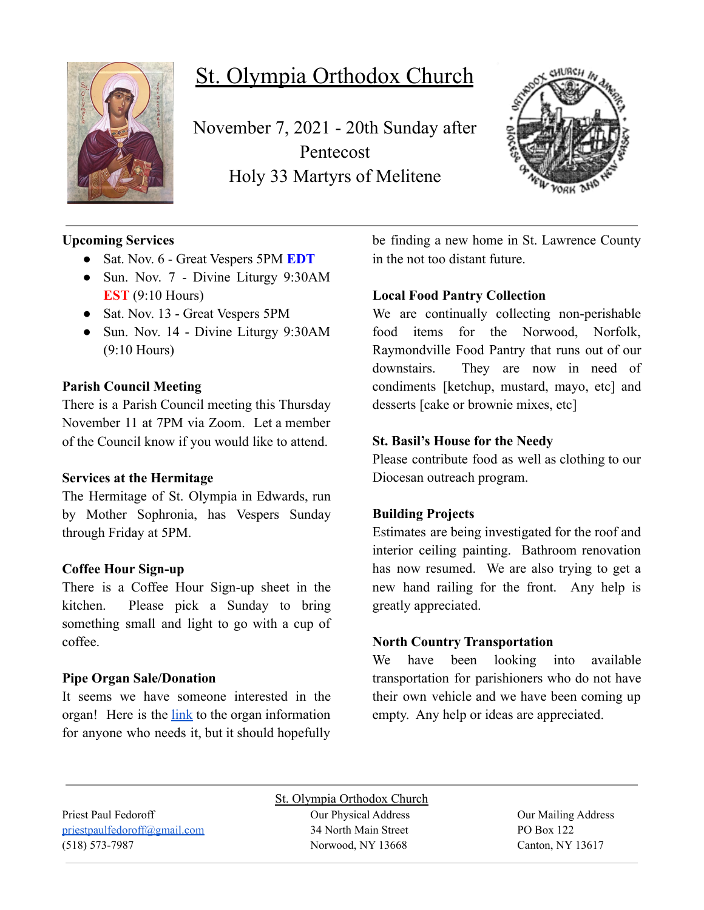

# St. Olympia Orthodox Church

November 7, 2021 - 20th Sunday after Pentecost Holy 33 Martyrs of Melitene



# **Upcoming Services**

- Sat. Nov. 6 Great Vespers 5PM **EDT**
- Sun. Nov. 7 Divine Liturgy 9:30AM **EST** (9:10 Hours)
- Sat. Nov. 13 Great Vespers 5PM
- Sun. Nov. 14 Divine Liturgy 9:30AM (9:10 Hours)

# **Parish Council Meeting**

There is a Parish Council meeting this Thursday November 11 at 7PM via Zoom. Let a member of the Council know if you would like to attend.

# **Services at the Hermitage**

The Hermitage of St. Olympia in Edwards, run by Mother Sophronia, has Vespers Sunday through Friday at 5PM.

# **Coffee Hour Sign-up**

There is a Coffee Hour Sign-up sheet in the kitchen. Please pick a Sunday to bring something small and light to go with a cup of coffee.

# **Pipe Organ Sale/Donation**

It seems we have someone interested in the organ! Here is the [link](https://www.carlsonorgans.com/carlson-pipe-organ.html?fbclid=IwAR0AP0R6-ZPq_msuHfolTcWBIFhgxMi9NY6dlXykcgRBM4j3qId0FzVWnes) to the organ information for anyone who needs it, but it should hopefully be finding a new home in St. Lawrence County in the not too distant future.

# **Local Food Pantry Collection**

We are continually collecting non-perishable food items for the Norwood, Norfolk, Raymondville Food Pantry that runs out of our downstairs. They are now in need of condiments [ketchup, mustard, mayo, etc] and desserts [cake or brownie mixes, etc]

# **St. Basil's House for the Needy**

Please contribute food as well as clothing to our Diocesan outreach program.

# **Building Projects**

Estimates are being investigated for the roof and interior ceiling painting. Bathroom renovation has now resumed. We are also trying to get a new hand railing for the front. Any help is greatly appreciated.

# **North Country Transportation**

We have been looking into available transportation for parishioners who do not have their own vehicle and we have been coming up empty. Any help or ideas are appreciated.

St. Olympia Orthodox Church Priest Paul Fedoroff Our Physical Address Our Mailing Address [priestpaulfedoroff@gmail.com](mailto:priestpaulfedoroff@gmail.com) 34 North Main Street PO Box 122 (518) 573-7987 Norwood, NY 13668 Canton, NY 13617